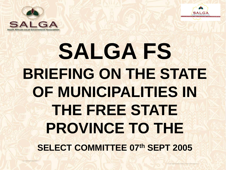



# **SALGA FS BRIEFING ON THE STATE OF MUNICIPALITIES IN THE FREE STATE PROVINCE TO THE SELECT COMMITTEE 07th SEPT 2005**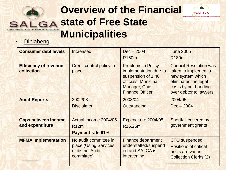### **Overview of the Financial state of Free State**  Government Association **Municipalities**



| <b>Consumer debt levels</b>                   | <b>Increased</b>                                                                  | $Dec - 2004$<br>R <sub>160</sub> m                                                                                                                      | <b>June 2005</b><br>R <sub>180</sub> m                                                                                                              |
|-----------------------------------------------|-----------------------------------------------------------------------------------|---------------------------------------------------------------------------------------------------------------------------------------------------------|-----------------------------------------------------------------------------------------------------------------------------------------------------|
| <b>Efficiency of revenue</b><br>collection    | <b>Credit control policy in</b><br>place                                          | <b>Problems in Policy</b><br>implementation due to<br>suspension of $\pm$ 46<br>officials: Municipal<br><b>Manager, Chief</b><br><b>Finance Officer</b> | <b>Council Resolution was</b><br>taken to implement a<br>new system which<br>eliminates the legal<br>costs by not handing<br>over debtor to lawyers |
| <b>Audit Reports</b>                          | 2002/03<br><b>Disclaimer</b>                                                      | 2003/04<br>Outstanding                                                                                                                                  | 2004/05<br>$Dec - 2004$                                                                                                                             |
| <b>Gaps between Income</b><br>and expenditure | Actual Income 2004/05<br><b>R12m</b><br><b>Payment rate 61%</b>                   | Expenditure 2004/05<br>R <sub>16.25</sub> m                                                                                                             | <b>Shortfall covered by</b><br>government grants                                                                                                    |
| <b>MFMA implementation</b>                    | No audit committee in<br>place (Using Services<br>of district Audit<br>committee) | <b>Finance department</b><br>understaffed/suspend<br>ed and SALGA is<br>intervening                                                                     | <b>CFO</b> suspended<br><b>Positions of critical</b><br>posts are vacant:<br><b>Collection Clerks (2)</b>                                           |

 $\triangle$ **SALGA**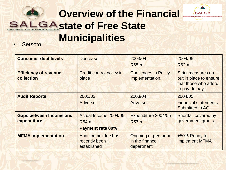

• Setsoto

| <b>Consumer debt levels</b>                   | <b>Decrease</b>                                                 | 2003/04<br><b>R65m</b>                                      | 2004/05<br><b>R62m</b>                                                                         |
|-----------------------------------------------|-----------------------------------------------------------------|-------------------------------------------------------------|------------------------------------------------------------------------------------------------|
| <b>Efficiency of revenue</b><br>collection    | <b>Credit control policy in</b><br>place                        | <b>Challenges in Policy</b><br>implementation,              | <b>Strict measures are</b><br>put in place to ensure<br>that those who afford<br>to pay do pay |
| <b>Audit Reports</b>                          | 2002/03<br><b>Adverse</b>                                       | 2003/04<br>Adverse                                          | 2004/05<br><b>Financial statements</b><br><b>Submitted to AG</b>                               |
| <b>Gaps between Income and</b><br>expenditure | Actual Income 2004/05<br><b>R54m</b><br><b>Payment rate 80%</b> | Expenditure 2004/05<br><b>R57m</b>                          | <b>Shortfall covered by</b><br>government grants                                               |
| <b>MFMA</b> implementation                    | <b>Audit committee has</b><br>recently been<br>established      | <b>Ongoing of personnel</b><br>in the finance<br>department | ±50% Ready to<br><b>implement MFMA</b>                                                         |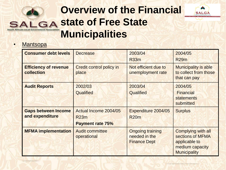### **Overview of the Financial state of Free State South African Local Government Association Municipalities**



| <b>Consumer debt levels</b>                   | <b>Decrease</b>                                          | 2003/04<br><b>R33m</b>                                          | 2004/05<br><b>R29m</b>                                                                                   |
|-----------------------------------------------|----------------------------------------------------------|-----------------------------------------------------------------|----------------------------------------------------------------------------------------------------------|
| <b>Efficiency of revenue</b><br>collection    | <b>Credit control policy in</b><br>place                 | Not efficient due to<br>unemployment rate                       | <b>Municipality is able</b><br>to collect from those<br>that can pay                                     |
| <b>Audit Reports</b>                          | 2002/03<br>Qualified                                     | 2003/04<br>Qualified                                            | 2004/05<br><b>Financial</b><br><b>statements</b><br>submitted                                            |
| <b>Gaps between Income</b><br>and expenditure | Actual Income 2004/05<br>R23m<br><b>Payment rate 75%</b> | Expenditure 2004/05<br><b>R20m</b>                              | <b>Surplus</b>                                                                                           |
| <b>MFMA</b> implementation                    | <b>Audit committee</b><br>operational                    | <b>Ongoing training</b><br>needed in the<br><b>Finance Dept</b> | <b>Complying with all</b><br>sections of MFMA<br>applicable to<br>medium capacity<br><b>Municipality</b> |

**AUX SALGA**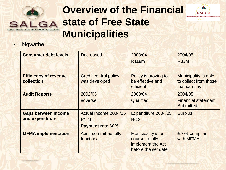

A **SALGA** 



| <b>Consumer debt levels</b>                   | <b>Decreased</b>                                                      | 2003/04<br>R <sub>118</sub> m                                                            | 2004/05<br><b>R83m</b>                                               |
|-----------------------------------------------|-----------------------------------------------------------------------|------------------------------------------------------------------------------------------|----------------------------------------------------------------------|
| <b>Efficiency of revenue</b><br>collection    | <b>Credit control policy</b><br>was developed                         | Policy is proving to<br>be effective and<br>efficient                                    | <b>Municipality is able</b><br>to collect from those<br>that can pay |
| <b>Audit Reports</b>                          | 2002/03<br>adverse                                                    | 2003/04<br>Qualified                                                                     | 2004/05<br><b>Financial statement</b><br><b>Submitted</b>            |
| <b>Gaps between Income</b><br>and expenditure | Actual Income 2004/05<br>R <sub>12.9</sub><br><b>Payment rate 60%</b> | Expenditure 2004/05<br>R <sub>6.2</sub>                                                  | <b>Surplus</b>                                                       |
| <b>MFMA</b> implementation                    | <b>Audit committee fully</b><br>functional                            | <b>Municipality is on</b><br>course to fully<br>implement the Act<br>before the set date | ±70% compliant<br>with MFMA                                          |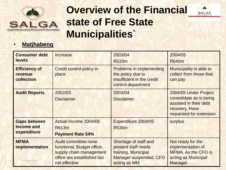

 $\triangle$ **SALGA** 

#### • **Matjhabeng**

| <b>Consumer debt</b><br>levels                          | Increase                                                                                                                            | 2003/04<br><b>R510m</b>                                                                                              | 2004/05<br><b>R640m</b>                                                                                                 |
|---------------------------------------------------------|-------------------------------------------------------------------------------------------------------------------------------------|----------------------------------------------------------------------------------------------------------------------|-------------------------------------------------------------------------------------------------------------------------|
| <b>Efficiency of</b><br>revenue<br>collection           | <b>Credit control policy in</b><br>place                                                                                            | <b>Problems in implementing</b><br>the policy due to<br>insufficient in the credit<br>control department             | <b>Municipality is able to</b><br>collect from those that<br>can pay                                                    |
| <b>Audit Reports</b>                                    | 2002/03<br><b>Disclaimer</b>                                                                                                        | 2003/04<br><b>Disclaimer</b>                                                                                         | 2004/05 Under Project<br>consolidate as is being<br>assisted in their debt<br>recovery. Have<br>requested for extension |
| <b>Gaps between</b><br><b>Income and</b><br>expenditure | Actual Income 2004/05<br><b>R613m</b><br><b>Payment Rate 54%</b>                                                                    | Expenditure 2004/05<br><b>R536m</b>                                                                                  | <b>surplus</b>                                                                                                          |
| <b>MFMA</b><br><i>implementation</i>                    | <b>Audit committee none</b><br>functional, Budget office,<br>supply chain management<br>office are established but<br>not effective | Shortage of staff and<br>present staff needs<br>training, Municipal<br><b>Manager suspended, CFO</b><br>acting as MM | Not ready for the<br>implementation of<br><b>MFMA. As the CFO is</b><br>acting as Municipal<br><b>Manager</b>           |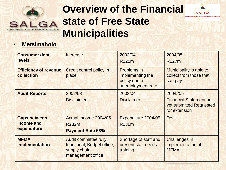

**AUX SALGA** 



| <b>Consumer debt</b><br><b>levels</b>                   | Increase                                                                                        | 2003/04<br>R <sub>125</sub> m                                                | 2004/05<br>R <sub>127</sub> m                                                          |
|---------------------------------------------------------|-------------------------------------------------------------------------------------------------|------------------------------------------------------------------------------|----------------------------------------------------------------------------------------|
| <b>Efficiency of revenue</b><br>collection              | <b>Credit control policy in</b><br>place                                                        | <b>Problems in</b><br>implementing the<br>policy due to<br>unemployment rate | <b>Municipality is able to</b><br>collect from those that<br>can pay                   |
| <b>Audit Reports</b>                                    | 2002/03<br><b>Disclaimer</b>                                                                    | 2003/04<br><b>Disclaimer</b>                                                 | 2004//05<br><b>Financial Statement not</b><br>yet submitted Requested<br>for extension |
| <b>Gaps between</b><br><b>Income and</b><br>expenditure | Actual Income 2004/05<br><b>R232m</b><br><b>Payment Rate 58%</b>                                | Expenditure 2004/05<br><b>R236m</b>                                          | <b>Deficit</b>                                                                         |
| <b>MFMA</b><br>implementation                           | <b>Audit committee fully</b><br>functional, Budget office,<br>supply chain<br>management office | Shortage of staff and<br>present staff needs<br>training                     | <b>Challenges in</b><br>implementation of<br><b>MFMA</b>                               |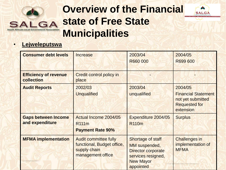

 $\rightarrow$ **SALGA** 



| <b>Consumer debt levels</b>                   | Increase                                                                                        | 2003/04<br>R660 000                                                                                                                  | 2004/05<br>R699 600                                                                             |
|-----------------------------------------------|-------------------------------------------------------------------------------------------------|--------------------------------------------------------------------------------------------------------------------------------------|-------------------------------------------------------------------------------------------------|
| <b>Efficiency of revenue</b><br>collection    | <b>Credit control policy in</b><br>place                                                        |                                                                                                                                      |                                                                                                 |
| <b>Audit Reports</b>                          | 2002/03<br><b>Unqualified</b>                                                                   | 2003/04<br>unqualified                                                                                                               | 2004/05<br><b>Financial Statement</b><br>not yet submitted<br><b>Requested for</b><br>extension |
| <b>Gaps between Income</b><br>and expenditure | Actual Income 2004/05<br>R <sub>111</sub> m<br><b>Payment Rate 90%</b>                          | Expenditure 2004/05<br><b>R110m</b>                                                                                                  | <b>Surplus</b>                                                                                  |
| <b>MFMA implementation</b>                    | <b>Audit committee fully</b><br>functional, Budget office,<br>supply chain<br>management office | <b>Shortage of staff</b><br><b>MM</b> suspended,<br><b>Director corporate</b><br>services resigned,<br><b>New Mayor</b><br>appointed | <b>Challenges in</b><br>implementation of<br><b>MFMA</b>                                        |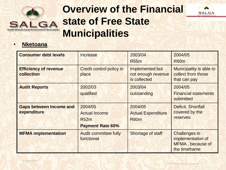



#### • **Nketoana**

| <b>Consumer debt levels</b>                   | <b>Increase</b>                                                           | 2003/04<br><b>R55m</b>                                | 2004/05<br><b>R60m</b>                                                         |
|-----------------------------------------------|---------------------------------------------------------------------------|-------------------------------------------------------|--------------------------------------------------------------------------------|
| <b>Efficiency of revenue</b><br>collection    | Credit control policy in<br>place                                         | Implemented but<br>not enough revenue<br>is collected | <b>Municipality is able to</b><br>collect from those<br>that can pay           |
| <b>Audit Reports</b>                          | 2002/03<br>qualified                                                      | 2003/04<br>outstanding                                | 2004/05<br><b>Financial statements</b><br>submitted                            |
| <b>Gaps between Income and</b><br>expenditure | 2004/05<br><b>Actual Income</b><br><b>R52m</b><br><b>Payment Rate 60%</b> | 2004/05<br><b>Actual Expenditure</b><br><b>R80m</b>   | Deficit, Shortfall<br>covered by the<br><b>reserves</b>                        |
| <b>MFMA</b> implementation                    | <b>Audit committee fully</b><br>functional                                | <b>Shortage of staff</b>                              | <b>Challenges in</b><br>implementation of<br>MFMA, because of<br>the timeframe |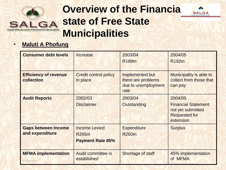



#### • **Maluti A Phofung**

| <b>Consumer debt levels</b>                   | Increase                                                 | 2003/04<br><b>R189m</b>                                              | 2004/05<br>R <sub>192</sub> m                                                                   |
|-----------------------------------------------|----------------------------------------------------------|----------------------------------------------------------------------|-------------------------------------------------------------------------------------------------|
| <b>Efficiency of revenue</b><br>collection    | <b>Credit control policy</b><br>in place                 | Implemented but<br>there are problems<br>due to unemployment<br>rate | <b>Municipality is able to</b><br>collect from those that<br>can pay                            |
| <b>Audit Reports</b>                          | 2002/03<br><b>Disclaimer</b>                             | 2003/04<br>Outstanding                                               | 2004/05<br><b>Financial Statement</b><br>not yet submitted<br><b>Requested for</b><br>extension |
| <b>Gaps between Income</b><br>and expenditure | <b>Income Levied</b><br>R265m<br><b>Payment Rate 85%</b> | <b>Expenditure</b><br><b>R260m</b>                                   | <b>Surplus</b>                                                                                  |
| <b>MFMA</b> implementation                    | <b>Audit committee is</b><br>established                 | Shortage of staff                                                    | 45% implementation<br>of MFMA                                                                   |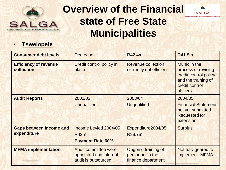

**AUX SALGA** 



| <b>Consumer debt levels</b>                   | <b>Decrease</b>                                                              | R42.4m                                                        | R41.8m                                                                                                                   |
|-----------------------------------------------|------------------------------------------------------------------------------|---------------------------------------------------------------|--------------------------------------------------------------------------------------------------------------------------|
| <b>Efficiency of revenue</b><br>collection    | <b>Credit control policy in</b><br>place                                     | <b>Revenue collection</b><br>currently not efficient          | Munic in the<br>process of revising<br>credit control policy<br>and the training of<br>credit control<br><b>officers</b> |
| <b>Audit Reports</b>                          | 2002/03<br><b>Unqualified</b>                                                | 2003/04<br><b>Unqualified</b>                                 | 2004/05<br><b>Financial Statement</b><br>not yet submitted<br><b>Requested for</b><br>extension -                        |
| <b>Gaps between Income and</b><br>expenditure | Income Levied 2004/05<br><b>R42m</b><br><b>Payment Rate 60%</b>              | Expenditure2004/05<br>R38.7m                                  | <b>Surplus</b>                                                                                                           |
| <b>MFMA implementation</b>                    | <b>Audit committee were</b><br>appointed and internal<br>audit is outsourced | Ongoing training of<br>personnel in the<br>finance department | Not fully geared to<br>implement MFMA                                                                                    |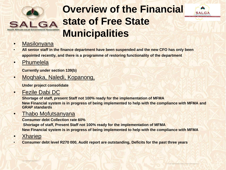



#### • Masilonyana

- **All senior staff in the finance department have been suspended and the new CFO has only been appointed recently, and there is a programme of restoring functionality of the department**
- Phumelela

**Currently under section 139(b)**

• Moqhaka, Naledi, Kopanong,

**Under project consolidate**

• Fezile Dabi DC

**Shortage of staff, present Staff not 100% ready for the implementation of MFMA New Financial system is in progress of being implemented to help with the compliance with MFMA and GRAP standards**

#### • Thabo Mofutsanyana

**Consumer debt Collection rate 60% Shortage of staff, Present Staff not 100% ready for the implementation of MFMA New Financial system is in progress of being implemented to help with the compliance with MFMA**

- Xhariep
- **Consumer debt level R270 000, Audit report are outstanding, Deficits for the past three years**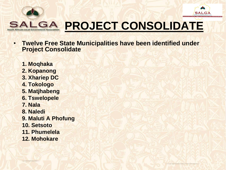



# **PROJECT CONSOLIDATE**

- **Twelve Free State Municipalities have been identified under Project Consolidate** 
	- **1. Moqhaka**
	- **2. Kopanong**
	- **3. Xhariep DC**
	- **4. Tokologo**
	- **5. Matjhabeng**
	- **6. Tswelopele**
	- **7. Nala**
	- **8. Naledi**
	- **9. Maluti A Phofung**
	- **10. Setsoto**
	- **11. Phumelela**
	- **12. Mohokare**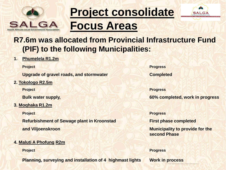



### **R7.6m was allocated from Provincial Infrastructure Fund (PIF) to the following Municipalities:**

**1. Phumelela R1.2m**

**Upgrade of gravel roads, and stormwater Completed** 

**2. Tokologo R2.5m**

**3. Moqhaka R1.2m**

**Refurbishment of Sewage plant in Kroonstad First phase completed and Viljoenskroon Municipality to provide for the** 

#### **4. Maluti A Phofung R2m**

**Planning, surveying and installation of 4 highmast lights Work in process** 

**Project Progress**

**Project Progress Bulk water supply, 60% completed, work in progress**

**Project Progress**

**second Phase**

**Project Progress**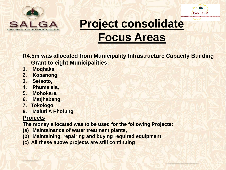



**R4.5m was allocated from Municipality Infrastructure Capacity Building Grant to eight Municipalities:**

- **1. Moqhaka,**
- **2. Kopanong,**
- **3. Setsoto,**
- **4. Phumelela,**
- **5. Mohokare,**
- **6. Matjhabeng,**
- **7. Tokologo,**
- **8. Maluti A Phofung**

#### **Projects**

**The money allocated was to be used for the following Projects:** 

- **(a) Maintainance of water treatment plants,**
- **(b) Maintaining, repairing and buying required equipment**
- **(c) All these above projects are still continuing**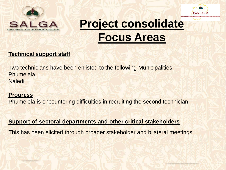



#### **Technical support staff**

Two technicians have been enlisted to the following Municipalities: Phumelela, **Naledi** 

#### **Progress**

Phumelela is encountering difficulties in recruiting the second technician

#### **Support of sectoral departments and other critical stakeholders**

This has been elicited through broader stakeholder and bilateral meetings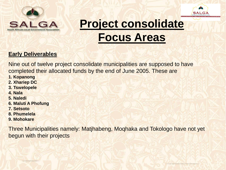



#### **Early Deliverables**

Nine out of twelve project consolidate municipalities are supposed to have completed their allocated funds by the end of June 2005. These are

- **1. Kopanong**
- **2. Xhariep DC**
- **3. Tswelopele**
- **4. Nala**
- **5. Naledi**
- **6. Maluti A Phofung**
- **7. Setsoto**
- **8. Phumelela**
- **9. Mohokare**

Three Municipalities namely: Matjhabeng, Moqhaka and Tokologo have not yet begun with their projects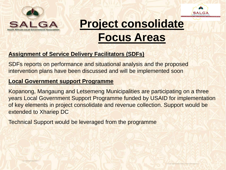



#### **Assignment of Service Delivery Facilitators (SDFs)**

SDFs reports on performance and situational analysis and the proposed intervention plans have been discussed and will be implemented soon

#### **Local Government support Programme**

Kopanong, Mangaung and Letsemeng Municipalities are participating on a three years Local Government Support Programme funded by USAID for implementation of key elements in project consolidate and revenue collection. Support would be extended to Xhariep DC

Technical Support would be leveraged from the programme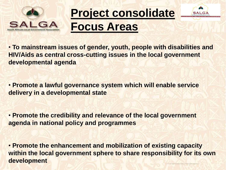



• **To mainstream issues of gender, youth, people with disabilities and HIV/Aids as central cross-cutting issues in the local government developmental agenda** 

• **Promote a lawful governance system which will enable service delivery in a developmental state** 

• **Promote the credibility and relevance of the local government agenda in national policy and programmes** 

• **Promote the enhancement and mobilization of existing capacity within the local government sphere to share responsibility for its own development**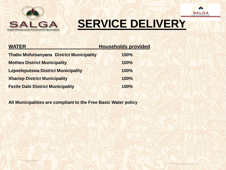



| <b>WATER</b>                                    | <b>Households provided</b> |
|-------------------------------------------------|----------------------------|
| <b>Thabo Mofutsanyana District Municipality</b> | 100%                       |
| <b>Motheo District Municipality</b>             | 100%                       |
| <b>Lejweleputswa District Municipality</b>      | 100%                       |
| <b>Xhariep District Municipality</b>            | 100%                       |
| <b>Fezile Dabi District Municipality</b>        | 100%                       |

**All Municipalities are compliant to the Free Basic Water policy**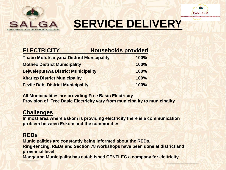

**AU SALGA** 

| <b>ELECTRICITY</b>                              | <b>Households provided</b> |
|-------------------------------------------------|----------------------------|
| <b>Thabo Mofutsanyana District Municipality</b> | 100%                       |
| <b>Motheo District Municipality</b>             | 100%                       |
| <b>Lejweleputswa District Municipality</b>      | 100%                       |
| <b>Xhariep District Municipality</b>            | 100%                       |
| <b>Fezile Dabi District Municipality</b>        | 100%                       |

**All Municipalities are providing Free Basic Electricity Provision of Free Basic Electricity vary from municipality to municipality** 

#### **Challenges**

**In most area where Eskom is providing electricity there is a communication problem between Eskom and the communities** 

#### **REDs**

**Municipalities are constantly being informed about the REDs. Ring-fencing, REDs and Section 78 workshops have been done at district and provincial level Mangaung Municipality has established CENTLEC a company for elcitricity**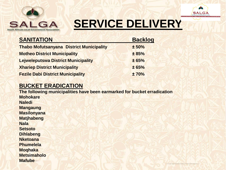



| <b>SANITATION</b>                               | <b>Backlog</b> |
|-------------------------------------------------|----------------|
| <b>Thabo Mofutsanyana District Municipality</b> | ± 50%          |
| <b>Motheo District Municipality</b>             | ± 85%          |
| <b>Lejweleputswa District Municipality</b>      | ± 65%          |
| <b>Xhariep District Municipality</b>            | ± 65%          |
| <b>Fezile Dabi District Municipality</b>        | ±70%           |

#### **BUCKET ERADICATION**

**The following municipalities have been earmarked for bucket erradication Mohokare Naledi Mangaung Masilonyana Matjhabeng Nala Setsoto Dihlabeng Nketoana Phumelela Moqhaka Metsimaholo Mafube**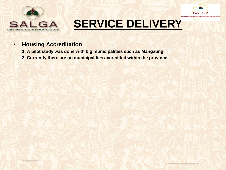



#### • **Housing Accreditation**

- **1. A pilot study was done with big municipalities such as Mangaung**
- **3. Currently there are no municipalities accredited within the province**